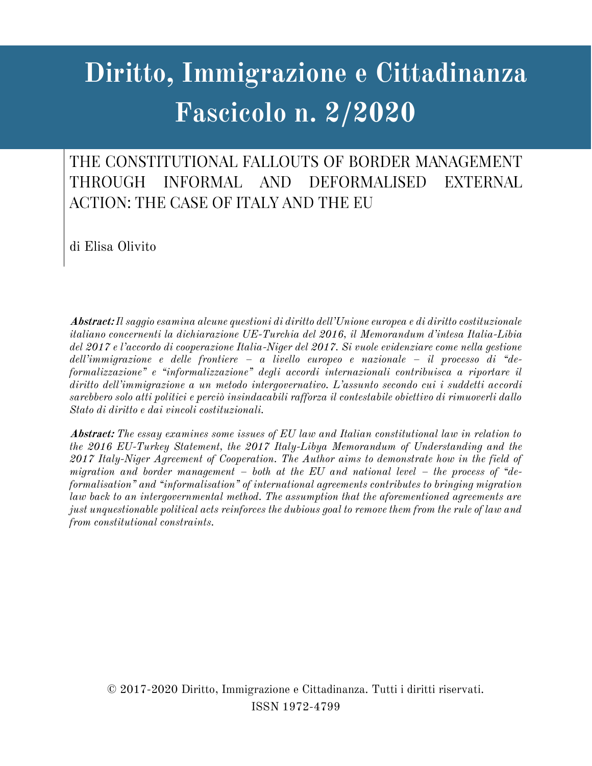# **Diritto, Immigrazione e Cittadinanza Fascicolo n. 2/2020**

THE CONSTITUTIONAL FALLOUTS OF BORDER MANAGEMENT **THROUGH** INFORMAL AND **DEFORMALISED EXTERNAL ACTION: THE CASE OF ITALY AND THE EU** 

di Elisa Olivito

**Abstract:** *Il saggio esamina alcune questioni di diritto dell'Unione europea e di diritto costituzionale italiano concernenti la dichiarazione UE-Turchia del 2016, il Memorandum d'intesa Italia-Libia del 2017 e l'accordo di cooperazione Italia-Niger del 2017. Si vuole evidenziare come nella gestione dell'immigrazione e delle frontiere – a livello europeo e nazionale – il processo di "deformalizzazione" e "informalizzazione" degli accordi internazionali contribuisca a riportare il diritto dell'immigrazione a un metodo intergovernativo. L'assunto secondo cui i suddetti accordi sarebbero solo atti politici e perciò insindacabili rafforza il contestabile obiettivo di rimuoverli dallo Stato di diritto e dai vincoli costituzionali.*

**Abstract:** *The essay examines some issues of EU law and Italian constitutional law in relation to the 2016 EU-Turkey Statement, the 2017 Italy-Libya Memorandum of Understanding and the 2017 Italy-Niger Agreement of Cooperation. The Author aims to demonstrate how in the field of migration and border management – both at the EU and national level – the process of "deformalisation" and "informalisation" of international agreements contributes to bringing migration law back to an intergovernmental method. The assumption that the aforementioned agreements are just unquestionable political acts reinforces the dubious goal to remove them from the rule of law and from constitutional constraints.*

© 2017-2020 Diritto, Immigrazione e Cittadinanza. Tutti i diritti riservati. ISSN 1972-4799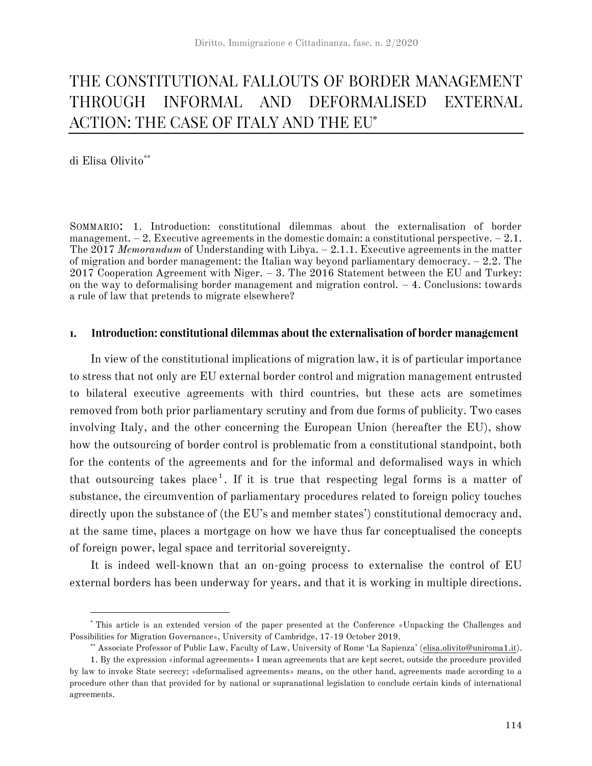#### THE CONSTITUTIONAL FALLOUTS OF BORDER MANAGEMENT THROUGH INFORMAL AND DEFORMALISED **EXTERNAL** ACTION: THE CASE OF ITALY AND THE EU\*

di Elisa Olivito\*\*

SOMMARIO: 1. Introduction: constitutional dilemmas about the externalisation of border management.  $-2$ . Executive agreements in the domestic domain: a constitutional perspective.  $-2.1$ . The 2017 *Memorandum* of Understanding with Libya. – 2.1.1. Executive agreements in the matter of migration and border management: the Italian way beyond parliamentary democracy. – 2.2. The  $2017$  Cooperation Agreement with Niger. – 3. The  $2016$  Statement between the EU and Turkey: on the way to deformalising border management and migration control.  $-4$ . Conclusions: towards a rule of law that pretends to migrate elsewhere?

#### Introduction: constitutional dilemmas about the externalisation of border management  $\mathbf{1}$ .

In view of the constitutional implications of migration law, it is of particular importance to stress that not only are EU external border control and migration management entrusted to bilateral executive agreements with third countries, but these acts are sometimes removed from both prior parliamentary scrutiny and from due forms of publicity. Two cases involving Italy, and the other concerning the European Union (hereafter the EU), show how the outsourcing of border control is problematic from a constitutional standpoint, both for the contents of the agreements and for the informal and deformalised ways in which that outsourcing takes place<sup>1</sup>. If it is true that respecting legal forms is a matter of substance, the circumvention of parliamentary procedures related to foreign policy touches directly upon the substance of (the EU's and member states') constitutional democracy and, at the same time, places a mortgage on how we have thus far conceptualised the concepts of foreign power, legal space and territorial sovereignty.

It is indeed well-known that an on-going process to externalise the control of EU external borders has been underway for years, and that it is working in multiple directions.

<sup>\*</sup> This article is an extended version of the paper presented at the Conference «Unpacking the Challenges and Possibilities for Migration Governance», University of Cambridge, 17-19 October 2019.

<sup>\*\*</sup> Associate Professor of Public Law, Faculty of Law, University of Rome 'La Sapienza' (elisa.olivito@uniroma1.it).

<sup>1.</sup> By the expression «informal agreements» I mean agreements that are kept secret, outside the procedure provided by law to invoke State secrecy; «deformalised agreements» means, on the other hand, agreements made according to a procedure other than that provided for by national or supranational legislation to conclude certain kinds of international agreements.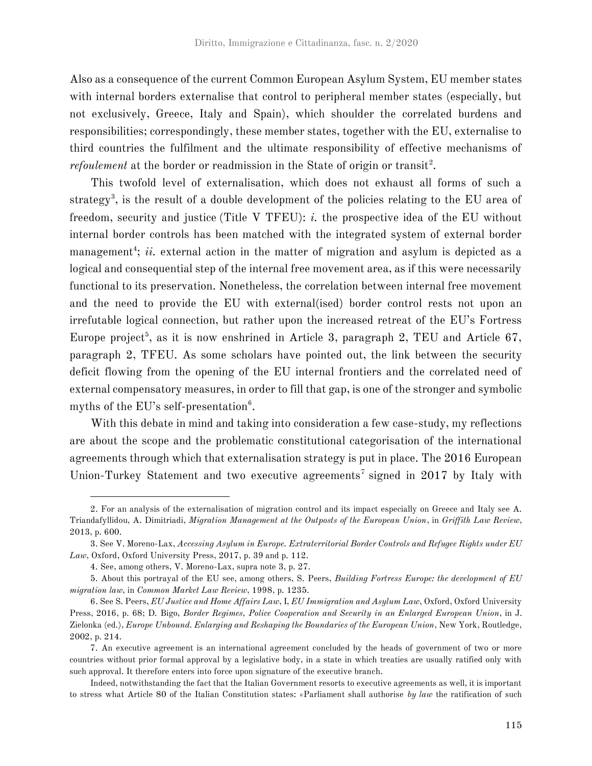Also as a consequence of the current Common European Asylum System, EU member states with internal borders externalise that control to peripheral member states (especially, but not exclusively, Greece, Italy and Spain), which shoulder the correlated burdens and responsibilities; correspondingly, these member states, together with the EU, externalise to third countries the fulfilment and the ultimate responsibility of effective mechanisms of *refoulement* at the border or readmission in the State of origin or transit<sup>2</sup>.

This twofold level of externalisation, which does not exhaust all forms of such a strategy<sup>3</sup>, is the result of a double development of the policies relating to the EU area of freedom, security and justice (Title V TFEU): *i.* the prospective idea of the EU without internal border controls has been matched with the integrated system of external border management<sup>4</sup>; *ii.* external action in the matter of migration and asylum is depicted as a logical and consequential step of the internal free movement area, as if this were necessarily functional to its preservation. Nonetheless, the correlation between internal free movement and the need to provide the EU with external(ised) border control rests not upon an irrefutable logical connection, but rather upon the increased retreat of the EU's Fortress Europe project<sup>5</sup>, as it is now enshrined in Article 3, paragraph 2, TEU and Article 67, paragraph 2, TFEU. As some scholars have pointed out, the link between the security deficit flowing from the opening of the EU internal frontiers and the correlated need of external compensatory measures, in order to fill that gap, is one of the stronger and symbolic myths of the EU's self-presentation $^6$ .

With this debate in mind and taking into consideration a few case-study, my reflections are about the scope and the problematic constitutional categorisation of the international agreements through which that externalisation strategy is put in place. The 2016 European Union-Turkey Statement and two executive agreements<sup>7</sup> signed in 2017 by Italy with

<sup>2.</sup> For an analysis of the externalisation of migration control and its impact especially on Greece and Italy see A. Triandafyllidou, A. Dimitriadi, *Migration Management at the Outposts of the European Union*, in *Griffith Law Review*, 2013, p. 600.

<sup>3.</sup> See V. Moreno-Lax, *Accessing Asylum in Europe. Extraterritorial Border Controls and Refugee Rights under EU Law*, Oxford, Oxford University Press, 2017, p. 39 and p. 112.

<sup>4.</sup> See, among others, V. Moreno-Lax, supra note 3, p. 27.

<sup>5.</sup> About this portrayal of the EU see, among others, S. Peers, *Building Fortress Europe: the development of EU migration law*, in *Common Market Law Review*, 1998, p. 1235.

<sup>6.</sup> See S. Peers, *EU Justice and Home Affairs Law*, I, *EU Immigration and Asylum Law*, Oxford, Oxford University Press, 2016, p. 68; D. Bigo, *Border Regimes, Police Cooperation and Security in an Enlarged European Union*, in J. Zielonka (ed.), *Europe Unbound. Enlarging and Reshaping the Boundaries of the European Union*, New York, Routledge, 2002, p. 214.

<sup>7.</sup> An executive agreement is an international agreement concluded by the heads of government of two or more countries without prior formal approval by a legislative body, in a state in which treaties are usually ratified only with such approval. It therefore enters into force upon signature of the executive branch.

Indeed, notwithstanding the fact that the Italian Government resorts to executive agreements as well, it is important to stress what Article 80 of the Italian Constitution states: «Parliament shall authorise *by law* the ratification of such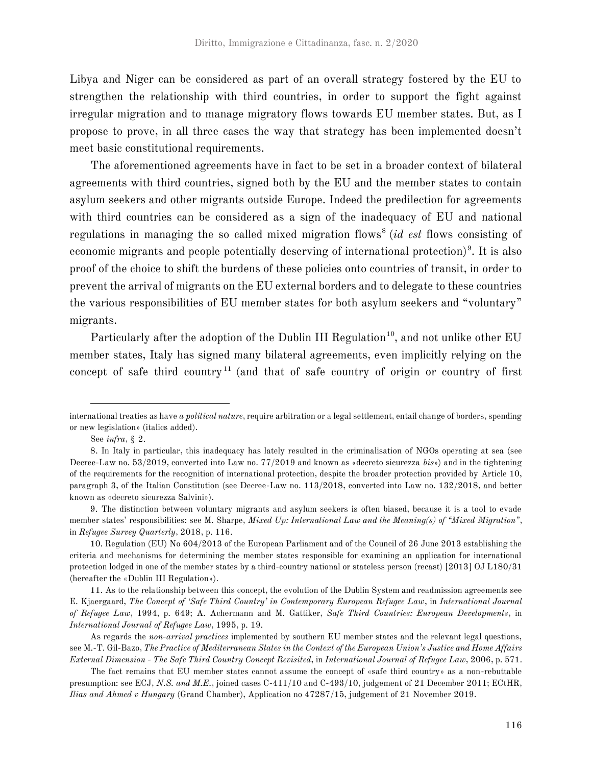Libya and Niger can be considered as part of an overall strategy fostered by the EU to strengthen the relationship with third countries, in order to support the fight against irregular migration and to manage migratory flows towards EU member states. But, as I propose to prove, in all three cases the way that strategy has been implemented doesn't meet basic constitutional requirements.

The aforementioned agreements have in fact to be set in a broader context of bilateral agreements with third countries, signed both by the EU and the member states to contain asylum seekers and other migrants outside Europe. Indeed the predilection for agreements with third countries can be considered as a sign of the inadequacy of EU and national regulations in managing the so called mixed migration flows<sup>8</sup> (*id est* flows consisting of economic migrants and people potentially deserving of international protection)<sup>9</sup>. It is also proof of the choice to shift the burdens of these policies onto countries of transit, in order to prevent the arrival of migrants on the EU external borders and to delegate to these countries the various responsibilities of EU member states for both asylum seekers and "voluntary" migrants.

Particularly after the adoption of the Dublin III Regulation<sup>10</sup>, and not unlike other EU member states, Italy has signed many bilateral agreements, even implicitly relying on the concept of safe third country<sup>11</sup> (and that of safe country of origin or country of first

international treaties as have *a political nature*, require arbitration or a legal settlement, entail change of borders, spending or new legislation» (italics added).

See *infra*, § 2.

<sup>8.</sup> In Italy in particular, this inadequacy has lately resulted in the criminalisation of NGOs operating at sea (see Decree-Law no. 53/2019, converted into Law no. 77/2019 and known as «decreto sicurezza *bis*») and in the tightening of the requirements for the recognition of international protection, despite the broader protection provided by Article 10, paragraph 3, of the Italian Constitution (see Decree-Law no. 113/2018, converted into Law no. 132/2018, and better known as «decreto sicurezza Salvini»).

<sup>9.</sup> The distinction between voluntary migrants and asylum seekers is often biased, because it is a tool to evade member states' responsibilities: see M. Sharpe, *Mixed Up: International Law and the Meaning(s) of "Mixed Migration"*, in *Refugee Survey Quarterly*, 2018, p. 116.

<sup>10.</sup> Regulation (EU) No 604/2013 of the European Parliament and of the Council of 26 June 2013 establishing the criteria and mechanisms for determining the member states responsible for examining an application for international protection lodged in one of the member states by a third-country national or stateless person (recast) [2013] OJ L180/31 (hereafter the «Dublin III Regulation»).

<sup>11.</sup> As to the relationship between this concept, the evolution of the Dublin System and readmission agreements see E. Kjaergaard, *The Concept of 'Safe Third Country' in Contemporary European Refugee Law*, in *International Journal of Refugee Law*, 1994, p. 649; A. Achermann and M. Gattiker, *Safe Third Countries: European Developments*, in *International Journal of Refugee Law*, 1995, p. 19.

As regards the *non-arrival practices* implemented by southern EU member states and the relevant legal questions, see M.-T. Gil-Bazo, *The Practice of Mediterranean States in the Context of the European Union's Justice and Home Affairs External Dimension - The Safe Third Country Concept Revisited*, in *International Journal of Refugee Law*, 2006, p. 571.

The fact remains that EU member states cannot assume the concept of «safe third country» as a non-rebuttable presumption: see ECJ, *N.S. and M.E.*, joined cases C-411/10 and C-493/10, judgement of 21 December 2011; ECtHR, *Ilias and Ahmed v Hungary* (Grand Chamber), Application no 47287/15, judgement of 21 November 2019.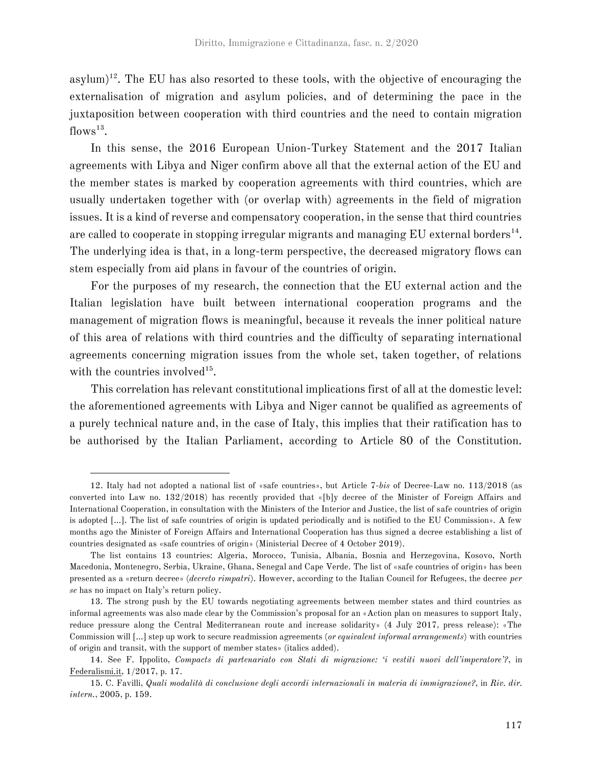asylum)<sup>12</sup>. The EU has also resorted to these tools, with the objective of encouraging the externalisation of migration and asylum policies, and of determining the pace in the juxtaposition between cooperation with third countries and the need to contain migration  $flows^{13}$ .

In this sense, the 2016 European Union-Turkey Statement and the 2017 Italian agreements with Libya and Niger confirm above all that the external action of the EU and the member states is marked by cooperation agreements with third countries, which are usually undertaken together with (or overlap with) agreements in the field of migration issues. It is a kind of reverse and compensatory cooperation, in the sense that third countries are called to cooperate in stopping irregular migrants and managing  $EU$  external borders<sup>14</sup>. The underlying idea is that, in a long-term perspective, the decreased migratory flows can stem especially from aid plans in favour of the countries of origin.

For the purposes of my research, the connection that the EU external action and the Italian legislation have built between international cooperation programs and the management of migration flows is meaningful, because it reveals the inner political nature of this area of relations with third countries and the difficulty of separating international agreements concerning migration issues from the whole set, taken together, of relations with the countries involved<sup>15</sup>.

This correlation has relevant constitutional implications first of all at the domestic level: the aforementioned agreements with Libya and Niger cannot be qualified as agreements of a purely technical nature and, in the case of Italy, this implies that their ratification has to be authorised by the Italian Parliament, according to Article 80 of the Constitution.

<sup>12.</sup> Italy had not adopted a national list of «safe countries», but Article 7-*bis* of Decree-Law no. 113/2018 (as converted into Law no. 132/2018) has recently provided that «[b]y decree of the Minister of Foreign Affairs and International Cooperation, in consultation with the Ministers of the Interior and Justice, the list of safe countries of origin is adopted […]. The list of safe countries of origin is updated periodically and is notified to the EU Commission». A few months ago the Minister of Foreign Affairs and International Cooperation has thus signed a decree establishing a list of countries designated as «safe countries of origin» (Ministerial Decree of 4 October 2019).

The list contains 13 countries: Algeria, Morocco, Tunisia, Albania, Bosnia and Herzegovina, Kosovo, North Macedonia, Montenegro, Serbia, Ukraine, Ghana, Senegal and Cape Verde. The list of «safe countries of origin» has been presented as a «return decree» (*decreto rimpatri*). However, according to the Italian Council for Refugees, the decree *per se* has no impact on Italy's return policy.

<sup>13.</sup> The strong push by the EU towards negotiating agreements between member states and third countries as informal agreements was also made clear by the Commission's proposal for an «Action plan on measures to support Italy, reduce pressure along the Central Mediterranean route and increase solidarity» (4 July 2017, press release): «The Commission will […] step up work to secure readmission agreements (*or equivalent informal arrangements*) with countries of origin and transit, with the support of member states» (italics added).

<sup>14.</sup> See F. Ippolito, *Compacts di partenariato con Stati di migrazione: 'i vestiti nuovi dell'imperatore'?*, in Federalismi.it, 1/2017, p. 17.

<sup>15.</sup> C. Favilli, *Quali modalità di conclusione degli accordi internazionali in materia di immigrazione?*, in *Riv. dir. intern.*, 2005, p. 159.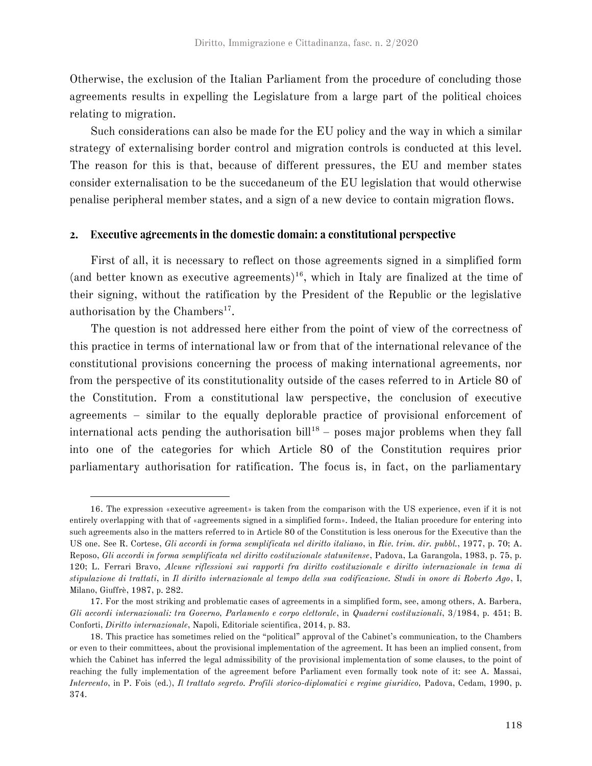Otherwise, the exclusion of the Italian Parliament from the procedure of concluding those agreements results in expelling the Legislature from a large part of the political choices relating to migration.

Such considerations can also be made for the EU policy and the way in which a similar strategy of externalising border control and migration controls is conducted at this level. The reason for this is that, because of different pressures, the EU and member states consider externalisation to be the succedaneum of the EU legislation that would otherwise penalise peripheral member states, and a sign of a new device to contain migration flows.

#### Executive agreements in the domestic domain: a constitutional perspective  $2.$

First of all, it is necessary to reflect on those agreements signed in a simplified form (and better known as executive agreements)<sup>16</sup>, which in Italy are finalized at the time of their signing, without the ratification by the President of the Republic or the legislative authorisation by the Chambers<sup>17</sup>.

The question is not addressed here either from the point of view of the correctness of this practice in terms of international law or from that of the international relevance of the constitutional provisions concerning the process of making international agreements, nor from the perspective of its constitutionality outside of the cases referred to in Article 80 of the Constitution. From a constitutional law perspective, the conclusion of executive agreements – similar to the equally deplorable practice of provisional enforcement of international acts pending the authorisation bill<sup>18</sup> – poses major problems when they fall into one of the categories for which Article 80 of the Constitution requires prior parliamentary authorisation for ratification. The focus is, in fact, on the parliamentary

<sup>16.</sup> The expression «executive agreement» is taken from the comparison with the US experience, even if it is not entirely overlapping with that of «agreements signed in a simplified form». Indeed, the Italian procedure for entering into such agreements also in the matters referred to in Article 80 of the Constitution is less onerous for the Executive than the US one. See R. Cortese, *Gli accordi in forma semplificata nel diritto italiano*, in *Riv. trim. dir. pubbl.*, 1977, p. 70; A. Reposo, *Gli accordi in forma semplificata nel diritto costituzionale statunitense*, Padova, La Garangola, 1983, p. 75, p. 120; L. Ferrari Bravo, *Alcune riflessioni sui rapporti fra diritto costituzionale e diritto internazionale in tema di stipulazione di trattati*, in *Il diritto internazionale al tempo della sua codificazione. Studi in onore di Roberto Ago*, I, Milano, Giuffrè, 1987, p. 282.

<sup>17.</sup> For the most striking and problematic cases of agreements in a simplified form, see, among others, A. Barbera, *Gli accordi internazionali: tra Governo, Parlamento e corpo elettorale*, in *Quaderni costituzionali*, 3/1984, p. 451; B. Conforti, *Diritto internazionale*, Napoli, Editoriale scientifica, 2014, p. 83.

<sup>18.</sup> This practice has sometimes relied on the "political" approval of the Cabinet's communication, to the Chambers or even to their committees, about the provisional implementation of the agreement. It has been an implied consent, from which the Cabinet has inferred the legal admissibility of the provisional implementation of some clauses, to the point of reaching the fully implementation of the agreement before Parliament even formally took note of it: see A. Massai, *Intervento*, in P. Fois (ed.), *Il trattato segreto. Profili storico-diplomatici e regime giuridico,* Padova, Cedam, 1990, p. 374.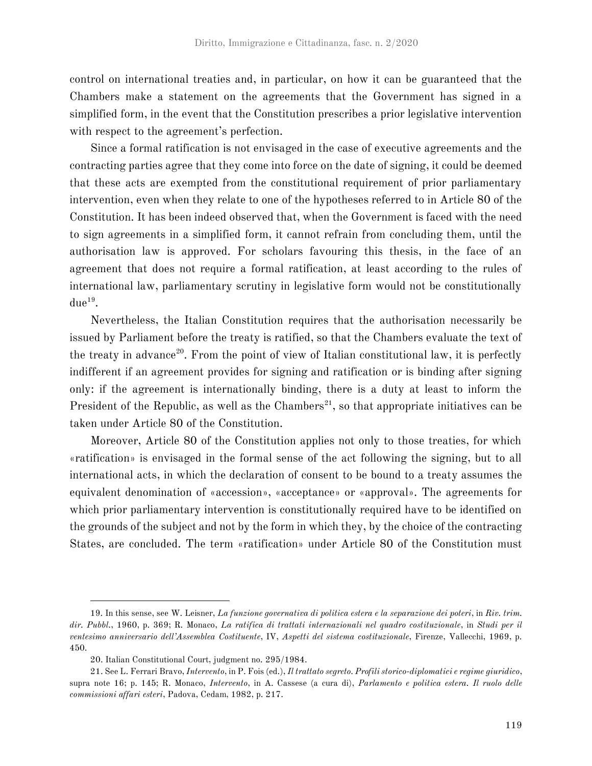control on international treaties and, in particular, on how it can be guaranteed that the Chambers make a statement on the agreements that the Government has signed in a simplified form, in the event that the Constitution prescribes a prior legislative intervention with respect to the agreement's perfection.

Since a formal ratification is not envisaged in the case of executive agreements and the contracting parties agree that they come into force on the date of signing, it could be deemed that these acts are exempted from the constitutional requirement of prior parliamentary intervention, even when they relate to one of the hypotheses referred to in Article 80 of the Constitution. It has been indeed observed that, when the Government is faced with the need to sign agreements in a simplified form, it cannot refrain from concluding them, until the authorisation law is approved. For scholars favouring this thesis, in the face of an agreement that does not require a formal ratification, at least according to the rules of international law, parliamentary scrutiny in legislative form would not be constitutionally  $due<sup>19</sup>.$ 

Nevertheless, the Italian Constitution requires that the authorisation necessarily be issued by Parliament before the treaty is ratified, so that the Chambers evaluate the text of the treaty in advance<sup>20</sup>. From the point of view of Italian constitutional law, it is perfectly indifferent if an agreement provides for signing and ratification or is binding after signing only: if the agreement is internationally binding, there is a duty at least to inform the President of the Republic, as well as the Chambers<sup>21</sup>, so that appropriate initiatives can be taken under Article 80 of the Constitution.

Moreover, Article 80 of the Constitution applies not only to those treaties, for which «ratification» is envisaged in the formal sense of the act following the signing, but to all international acts, in which the declaration of consent to be bound to a treaty assumes the equivalent denomination of «accession», «acceptance» or «approval». The agreements for which prior parliamentary intervention is constitutionally required have to be identified on the grounds of the subject and not by the form in which they, by the choice of the contracting States, are concluded. The term «ratification» under Article 80 of the Constitution must

<sup>19.</sup> In this sense, see W. Leisner, *La funzione governativa di politica estera e la separazione dei poteri*, in *Riv. trim. dir. Pubbl.*, 1960, p. 369; R. Monaco, *La ratifica di trattati internazionali nel quadro costituzionale*, in *Studi per il ventesimo anniversario dell'Assemblea Costituente*, IV, *Aspetti del sistema costituzionale*, Firenze, Vallecchi, 1969, p. 450.

<sup>20.</sup> Italian Constitutional Court, judgment no. 295/1984.

<sup>21.</sup> See L. Ferrari Bravo, *Intervento*, in P. Fois (ed.), *Il trattato segreto. Profili storico-diplomatici e regime giuridico*, supra note 16; p. 145; R. Monaco, *Intervento*, in A. Cassese (a cura di), *Parlamento e politica estera. Il ruolo delle commissioni affari esteri*, Padova, Cedam, 1982, p. 217.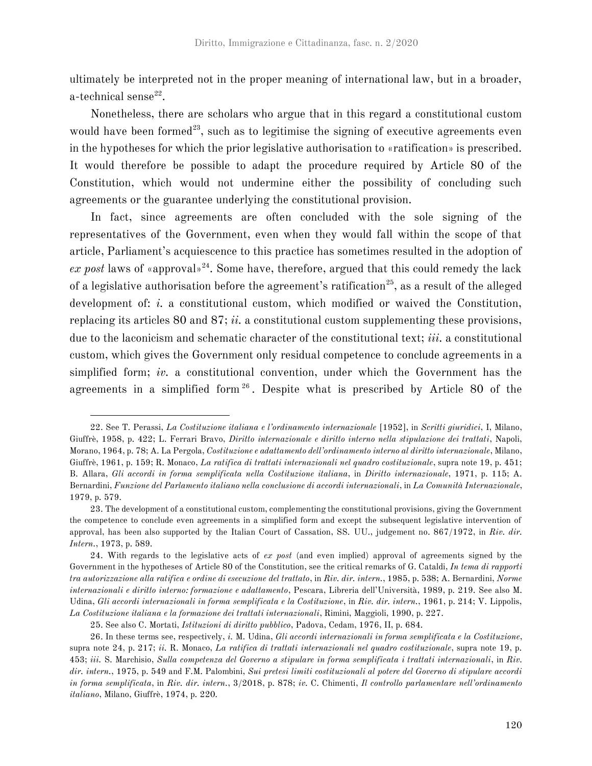ultimately be interpreted not in the proper meaning of international law, but in a broader, a-technical sense $^{22}$ .

Nonetheless, there are scholars who argue that in this regard a constitutional custom would have been formed<sup>23</sup>, such as to legitimise the signing of executive agreements even in the hypotheses for which the prior legislative authorisation to «ratification» is prescribed. It would therefore be possible to adapt the procedure required by Article 80 of the Constitution, which would not undermine either the possibility of concluding such agreements or the guarantee underlying the constitutional provision.

In fact, since agreements are often concluded with the sole signing of the representatives of the Government, even when they would fall within the scope of that article, Parliament's acquiescence to this practice has sometimes resulted in the adoption of *ex post* laws of «approval»<sup>24</sup>. Some have, therefore, argued that this could remedy the lack of a legislative authorisation before the agreement's ratification<sup>25</sup>, as a result of the alleged development of: *i.* a constitutional custom, which modified or waived the Constitution, replacing its articles 80 and 87; *ii.* a constitutional custom supplementing these provisions, due to the laconicism and schematic character of the constitutional text; *iii.* a constitutional custom, which gives the Government only residual competence to conclude agreements in a simplified form; *iv.* a constitutional convention, under which the Government has the agreements in a simplified form  $26$ . Despite what is prescribed by Article 80 of the

<sup>22.</sup> See T. Perassi, *La Costituzione italiana e l'ordinamento internazionale* [1952], in *Scritti giuridici*, I, Milano, Giuffrè, 1958, p. 422; L. Ferrari Bravo, *Diritto internazionale e diritto interno nella stipulazione dei trattati*, Napoli, Morano, 1964, p. 78; A. La Pergola, *Costituzione e adattamento dell'ordinamento interno al diritto internazionale*, Milano, Giuffrè, 1961, p. 159; R. Monaco, *La ratifica di trattati internazionali nel quadro costituzionale*, supra note 19, p. 451; B. Allara, *Gli accordi in forma semplificata nella Costituzione italiana*, in *Diritto internazionale*, 1971, p. 115; A. Bernardini, *Funzione del Parlamento italiano nella conclusione di accordi internazionali*, in *La Comunità Internazionale*, 1979, p. 579.

<sup>23.</sup> The development of a constitutional custom, complementing the constitutional provisions, giving the Government the competence to conclude even agreements in a simplified form and except the subsequent legislative intervention of approval, has been also supported by the Italian Court of Cassation, SS. UU., judgement no. 867/1972, in *Riv. dir. Intern.*, 1973, p. 589.

<sup>24.</sup> With regards to the legislative acts of *ex post* (and even implied) approval of agreements signed by the Government in the hypotheses of Article 80 of the Constitution, see the critical remarks of G. Cataldi, *In tema di rapporti tra autorizzazione alla ratifica e ordine di esecuzione del trattato*, in *Riv. dir. intern.*, 1985, p. 538; A. Bernardini, *Norme internazionali e diritto interno: formazione e adattamento*, Pescara, Libreria dell'Università, 1989, p. 219. See also M. Udina, *Gli accordi internazionali in forma semplificata e la Costituzione*, in *Riv. dir. intern.*, 1961, p. 214; V. Lippolis, *La Costituzione italiana e la formazione dei trattati internazionali*, Rimini, Maggioli, 1990, p. 227.

<sup>25.</sup> See also C. Mortati, *Istituzioni di diritto pubblico*, Padova, Cedam, 1976, II, p. 684.

<sup>26.</sup> In these terms see, respectively, *i.* M. Udina, *Gli accordi internazionali in forma semplificata e la Costituzione*, supra note 24, p. 217; *ii.* R. Monaco, *La ratifica di trattati internazionali nel quadro costituzionale*, supra note 19, p. 453; *iii.* S. Marchisio, *Sulla competenza del Governo a stipulare in forma semplificata i trattati internazionali*, in *Riv. dir. intern.*, 1975, p. 549 and F.M. Palombini, *Sui pretesi limiti costituzionali al potere del Governo di stipulare accordi in forma semplificata*, in *Riv. dir. intern.*, 3/2018, p. 878; *iv.* C. Chimenti, *Il controllo parlamentare nell'ordinamento italiano*, Milano, Giuffrè, 1974, p. 220.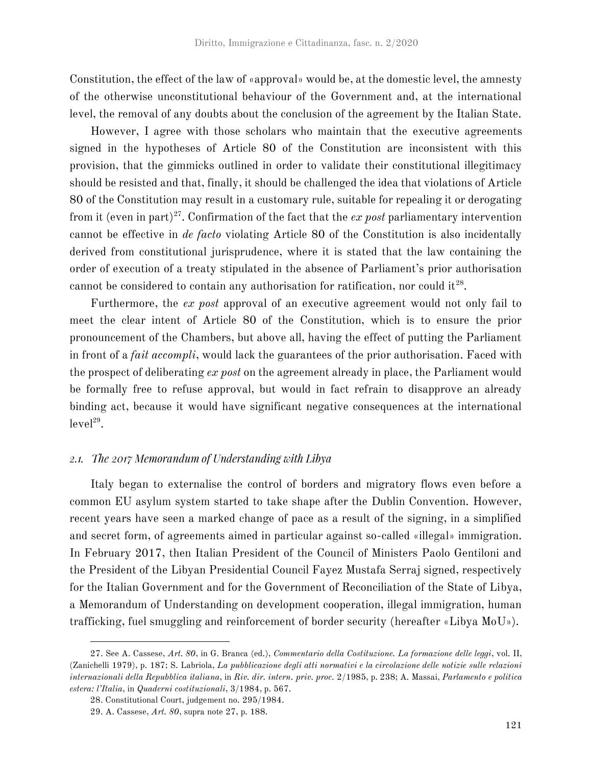Constitution, the effect of the law of «approval» would be, at the domestic level, the amnesty of the otherwise unconstitutional behaviour of the Government and, at the international level, the removal of any doubts about the conclusion of the agreement by the Italian State.

However, I agree with those scholars who maintain that the executive agreements signed in the hypotheses of Article 80 of the Constitution are inconsistent with this provision, that the gimmicks outlined in order to validate their constitutional illegitimacy should be resisted and that, finally, it should be challenged the idea that violations of Article 80 of the Constitution may result in a customary rule, suitable for repealing it or derogating from it (even in part)<sup>27</sup>. Confirmation of the fact that the  $ex$  post parliamentary intervention cannot be effective in *de facto* violating Article 80 of the Constitution is also incidentally derived from constitutional jurisprudence, where it is stated that the law containing the order of execution of a treaty stipulated in the absence of Parliament's prior authorisation cannot be considered to contain any authorisation for ratification, nor could it $^{28}$ .

Furthermore, the *ex post* approval of an executive agreement would not only fail to meet the clear intent of Article 80 of the Constitution, which is to ensure the prior pronouncement of the Chambers, but above all, having the effect of putting the Parliament in front of a *fait accompli*, would lack the guarantees of the prior authorisation. Faced with the prospect of deliberating *ex post* on the agreement already in place, the Parliament would be formally free to refuse approval, but would in fact refrain to disapprove an already binding act, because it would have significant negative consequences at the international  $level<sup>29</sup>$ .

## 2.1. The 2017 Memorandum of Understanding with Libya

Italy began to externalise the control of borders and migratory flows even before a common EU asylum system started to take shape after the Dublin Convention. However, recent years have seen a marked change of pace as a result of the signing, in a simplified and secret form, of agreements aimed in particular against so-called «illegal» immigration. In February 2017, then Italian President of the Council of Ministers Paolo Gentiloni and the President of the Libyan Presidential Council Fayez Mustafa Serraj signed, respectively for the Italian Government and for the Government of Reconciliation of the State of Libya, a Memorandum of Understanding on development cooperation, illegal immigration, human trafficking, fuel smuggling and reinforcement of border security (hereafter «Libya MoU»).

<sup>27.</sup> See A. Cassese, *Art. 80*, in G. Branca (ed.), *Commentario della Costituzione. La formazione delle leggi*, vol. II, (Zanichelli 1979), p. 187; S. Labriola, *La pubblicazione degli atti normativi e la circolazione delle notizie sulle relazioni internazionali della Repubblica italiana*, in *Riv. dir. intern. priv. proc.* 2/1985, p. 238; A. Massai, *Parlamento e politica estera: l'Italia*, in *Quaderni costituzionali*, 3/1984, p. 567.

<sup>28.</sup> Constitutional Court, judgement no. 295/1984.

<sup>29.</sup> A. Cassese, *Art. 80*, supra note 27, p. 188.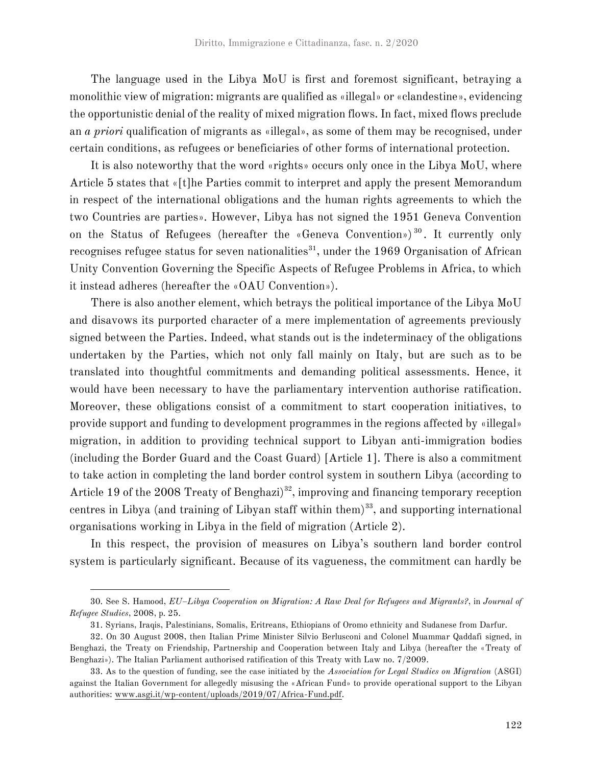The language used in the Libya MoU is first and foremost significant, betraying a monolithic view of migration: migrants are qualified as «illegal» or «clandestine», evidencing the opportunistic denial of the reality of mixed migration flows. In fact, mixed flows preclude an *a priori* qualification of migrants as «illegal», as some of them may be recognised, under certain conditions, as refugees or beneficiaries of other forms of international protection.

It is also noteworthy that the word «rights» occurs only once in the Libya MoU, where Article 5 states that «[t]he Parties commit to interpret and apply the present Memorandum in respect of the international obligations and the human rights agreements to which the two Countries are parties». However, Libya has not signed the 1951 Geneva Convention on the Status of Refugees (hereafter the «Geneva Convention»)<sup>30</sup>. It currently only recognises refugee status for seven nationalities<sup>31</sup>, under the 1969 Organisation of African Unity Convention Governing the Specific Aspects of Refugee Problems in Africa, to which it instead adheres (hereafter the «OAU Convention»).

There is also another element, which betrays the political importance of the Libya MoU and disavows its purported character of a mere implementation of agreements previously signed between the Parties. Indeed, what stands out is the indeterminacy of the obligations undertaken by the Parties, which not only fall mainly on Italy, but are such as to be translated into thoughtful commitments and demanding political assessments. Hence, it would have been necessary to have the parliamentary intervention authorise ratification. Moreover, these obligations consist of a commitment to start cooperation initiatives, to provide support and funding to development programmes in the regions affected by «illegal» migration, in addition to providing technical support to Libyan anti-immigration bodies (including the Border Guard and the Coast Guard) [Article 1]. There is also a commitment to take action in completing the land border control system in southern Libya (according to Article 19 of the 2008 Treaty of Benghazi $3<sup>32</sup>$ , improving and financing temporary reception centres in Libya (and training of Libyan staff within them)<sup>33</sup>, and supporting international organisations working in Libya in the field of migration (Article 2).

In this respect, the provision of measures on Libya's southern land border control system is particularly significant. Because of its vagueness, the commitment can hardly be

<sup>30.</sup> See S. Hamood, *EU–Libya Cooperation on Migration: A Raw Deal for Refugees and Migrants?*, in *Journal of Refugee Studies*, 2008, p. 25.

<sup>31.</sup> Syrians, Iraqis, Palestinians, Somalis, Eritreans, Ethiopians of Oromo ethnicity and Sudanese from Darfur.

<sup>32.</sup> On 30 August 2008, then Italian Prime Minister Silvio Berlusconi and Colonel Muammar Qaddafi signed, in Benghazi, the Treaty on Friendship, Partnership and Cooperation between Italy and Libya (hereafter the «Treaty of Benghazi»). The Italian Parliament authorised ratification of this Treaty with Law no. 7/2009.

<sup>33.</sup> As to the question of funding, see the case initiated by the *Association for Legal Studies on Migration* (ASGI) against the Italian Government for allegedly misusing the «African Fund» to provide operational support to the Libyan authorities: www.asgi.it/wp-content/uploads/2019/07/Africa-Fund.pdf.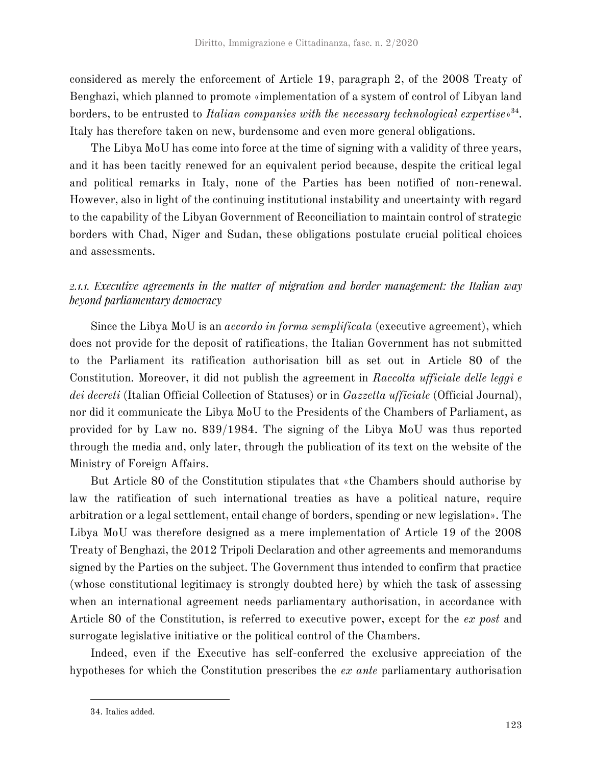considered as merely the enforcement of Article 19, paragraph 2, of the 2008 Treaty of Benghazi, which planned to promote «implementation of a system of control of Libyan land borders, to be entrusted to *Italian companies with the necessary technological expertise*<sup>34</sup>. Italy has therefore taken on new, burdensome and even more general obligations.

The Libya MoU has come into force at the time of signing with a validity of three years, and it has been tacitly renewed for an equivalent period because, despite the critical legal and political remarks in Italy, none of the Parties has been notified of non-renewal. However, also in light of the continuing institutional instability and uncertainty with regard to the capability of the Libyan Government of Reconciliation to maintain control of strategic borders with Chad, Niger and Sudan, these obligations postulate crucial political choices and assessments.

## 2.1.1. Executive agreements in the matter of migration and border management: the Italian way beyond parliamentary democracy

Since the Libya MoU is an *accordo in forma semplificata* (executive agreement), which does not provide for the deposit of ratifications, the Italian Government has not submitted to the Parliament its ratification authorisation bill as set out in Article 80 of the Constitution. Moreover, it did not publish the agreement in *Raccolta ufficiale delle leggi e dei decreti* (Italian Official Collection of Statuses) or in *Gazzetta ufficiale* (Official Journal), nor did it communicate the Libya MoU to the Presidents of the Chambers of Parliament, as provided for by Law no. 839/1984. The signing of the Libya MoU was thus reported through the media and, only later, through the publication of its text on the website of the Ministry of Foreign Affairs.

But Article 80 of the Constitution stipulates that «the Chambers should authorise by law the ratification of such international treaties as have a political nature, require arbitration or a legal settlement, entail change of borders, spending or new legislation». The Libya MoU was therefore designed as a mere implementation of Article 19 of the 2008 Treaty of Benghazi, the 2012 Tripoli Declaration and other agreements and memorandums signed by the Parties on the subject. The Government thus intended to confirm that practice (whose constitutional legitimacy is strongly doubted here) by which the task of assessing when an international agreement needs parliamentary authorisation, in accordance with Article 80 of the Constitution, is referred to executive power, except for the *ex post* and surrogate legislative initiative or the political control of the Chambers.

Indeed, even if the Executive has self-conferred the exclusive appreciation of the hypotheses for which the Constitution prescribes the *ex ante* parliamentary authorisation

<sup>34.</sup> Italics added.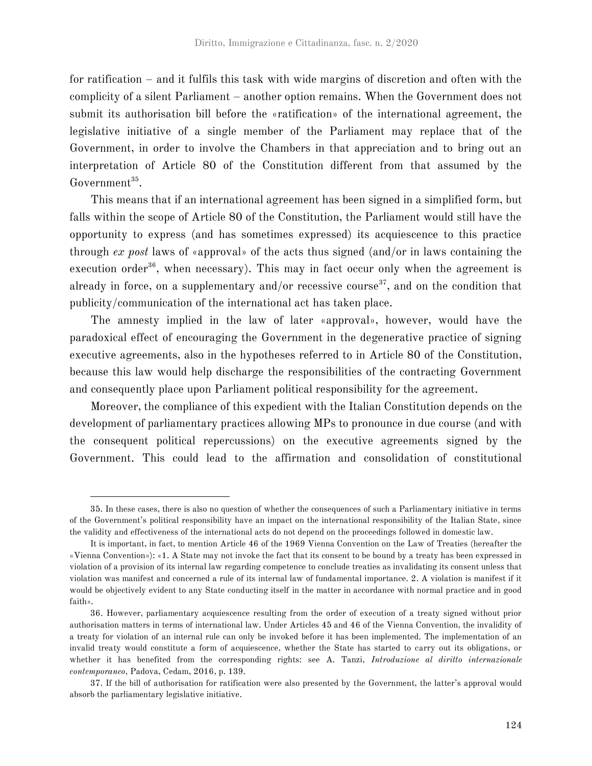for ratification – and it fulfils this task with wide margins of discretion and often with the complicity of a silent Parliament – another option remains. When the Government does not submit its authorisation bill before the «ratification» of the international agreement, the legislative initiative of a single member of the Parliament may replace that of the Government, in order to involve the Chambers in that appreciation and to bring out an interpretation of Article 80 of the Constitution different from that assumed by the Government<sup>35</sup>.

This means that if an international agreement has been signed in a simplified form, but falls within the scope of Article 80 of the Constitution, the Parliament would still have the opportunity to express (and has sometimes expressed) its acquiescence to this practice through *ex post* laws of «approval» of the acts thus signed (and/or in laws containing the execution order $36$ , when necessary). This may in fact occur only when the agreement is already in force, on a supplementary and/or recessive course<sup>37</sup>, and on the condition that publicity/communication of the international act has taken place.

The amnesty implied in the law of later «approval», however, would have the paradoxical effect of encouraging the Government in the degenerative practice of signing executive agreements, also in the hypotheses referred to in Article 80 of the Constitution, because this law would help discharge the responsibilities of the contracting Government and consequently place upon Parliament political responsibility for the agreement.

Moreover, the compliance of this expedient with the Italian Constitution depends on the development of parliamentary practices allowing MPs to pronounce in due course (and with the consequent political repercussions) on the executive agreements signed by the Government. This could lead to the affirmation and consolidation of constitutional

<sup>35.</sup> In these cases, there is also no question of whether the consequences of such a Parliamentary initiative in terms of the Government's political responsibility have an impact on the international responsibility of the Italian State, since the validity and effectiveness of the international acts do not depend on the proceedings followed in domestic law.

It is important, in fact, to mention Article 46 of the 1969 Vienna Convention on the Law of Treaties (hereafter the «Vienna Convention»): «1. A State may not invoke the fact that its consent to be bound by a treaty has been expressed in violation of a provision of its internal law regarding competence to conclude treaties as invalidating its consent unless that violation was manifest and concerned a rule of its internal law of fundamental importance. 2. A violation is manifest if it would be objectively evident to any State conducting itself in the matter in accordance with normal practice and in good faith».

<sup>36.</sup> However, parliamentary acquiescence resulting from the order of execution of a treaty signed without prior authorisation matters in terms of international law. Under Articles 45 and 46 of the Vienna Convention, the invalidity of a treaty for violation of an internal rule can only be invoked before it has been implemented. The implementation of an invalid treaty would constitute a form of acquiescence, whether the State has started to carry out its obligations, or whether it has benefited from the corresponding rights: see A. Tanzi, *Introduzione al diritto internazionale contemporaneo*, Padova, Cedam, 2016, p. 139.

<sup>37.</sup> If the bill of authorisation for ratification were also presented by the Government, the latter's approval would absorb the parliamentary legislative initiative.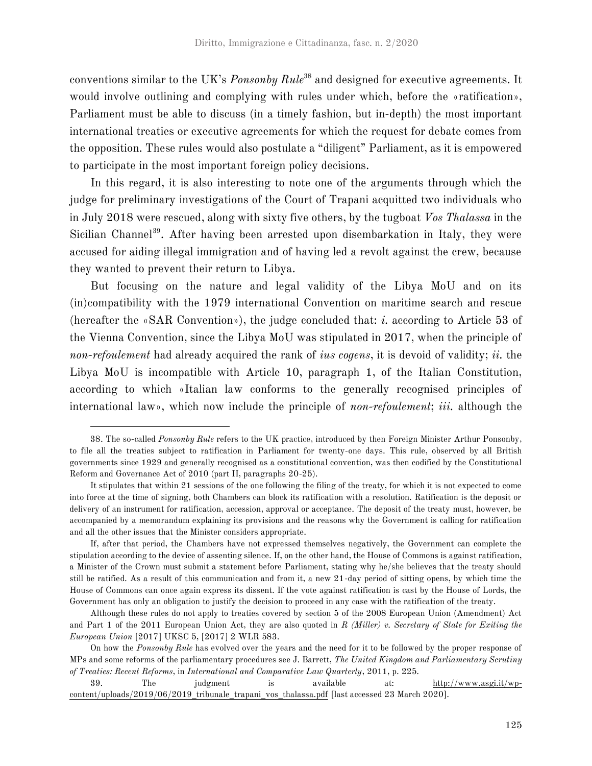conventions similar to the UK's *Ponsonby Rule*<sup>38</sup> and designed for executive agreements. It would involve outlining and complying with rules under which, before the «ratification», Parliament must be able to discuss (in a timely fashion, but in-depth) the most important international treaties or executive agreements for which the request for debate comes from the opposition. These rules would also postulate a "diligent" Parliament, as it is empowered to participate in the most important foreign policy decisions.

In this regard, it is also interesting to note one of the arguments through which the judge for preliminary investigations of the Court of Trapani acquitted two individuals who in July 2018 were rescued, along with sixty five others, by the tugboat *Vos Thalassa* in the Sicilian Channel<sup>39</sup>. After having been arrested upon disembarkation in Italy, they were accused for aiding illegal immigration and of having led a revolt against the crew, because they wanted to prevent their return to Libya.

But focusing on the nature and legal validity of the Libya MoU and on its (in)compatibility with the 1979 international Convention on maritime search and rescue (hereafter the «SAR Convention»), the judge concluded that: *i.* according to Article 53 of the Vienna Convention, since the Libya MoU was stipulated in 2017, when the principle of *non-refoulement* had already acquired the rank of *ius cogens*, it is devoid of validity; *ii.* the Libya MoU is incompatible with Article 10, paragraph 1, of the Italian Constitution, according to which «Italian law conforms to the generally recognised principles of international law», which now include the principle of *non-refoulement*; *iii.* although the

<sup>38.</sup> The so-called *Ponsonby Rule* refers to the UK practice, introduced by then Foreign Minister Arthur Ponsonby, to file all the treaties subject to ratification in Parliament for twenty-one days. This rule, observed by all British governments since 1929 and generally recognised as a constitutional convention, was then codified by the Constitutional Reform and Governance Act of 2010 (part II, paragraphs 20-25).

It stipulates that within 21 sessions of the one following the filing of the treaty, for which it is not expected to come into force at the time of signing, both Chambers can block its ratification with a resolution. Ratification is the deposit or delivery of an instrument for ratification, accession, approval or acceptance. The deposit of the treaty must, however, be accompanied by a memorandum explaining its provisions and the reasons why the Government is calling for ratification and all the other issues that the Minister considers appropriate.

If, after that period, the Chambers have not expressed themselves negatively, the Government can complete the stipulation according to the device of assenting silence. If, on the other hand, the House of Commons is against ratification, a Minister of the Crown must submit a statement before Parliament, stating why he/she believes that the treaty should still be ratified. As a result of this communication and from it, a new 21-day period of sitting opens, by which time the House of Commons can once again express its dissent. If the vote against ratification is cast by the House of Lords, the Government has only an obligation to justify the decision to proceed in any case with the ratification of the treaty.

Although these rules do not apply to treaties covered by section 5 of the 2008 European Union (Amendment) Act and Part 1 of the 2011 European Union Act, they are also quoted in *R (Miller) v. Secretary of State for Exiting the European Union* [2017] UKSC 5, [2017] 2 WLR 583.

On how the *Ponsonby Rule* has evolved over the years and the need for it to be followed by the proper response of MPs and some reforms of the parliamentary procedures see J. Barrett, *The United Kingdom and Parliamentary Scrutiny of Treaties: Recent Reforms*, in *International and Comparative Law Quarterly*, 2011, p. 225.

<sup>39.</sup> The judgment is available at: http://www.asgi.it/wpcontent/uploads/2019/06/2019\_tribunale\_trapani\_vos\_thalassa.pdf [last accessed 23 March 2020].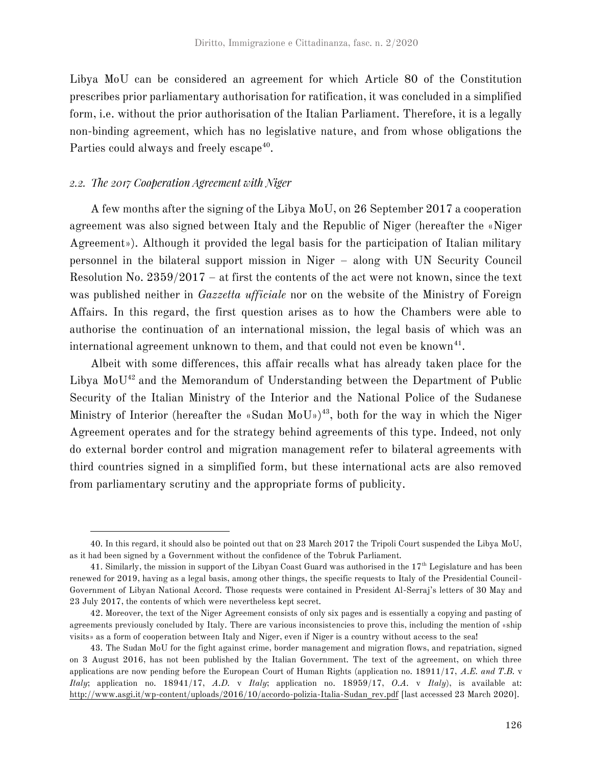Libya MoU can be considered an agreement for which Article 80 of the Constitution prescribes prior parliamentary authorisation for ratification, it was concluded in a simplified form, i.e. without the prior authorisation of the Italian Parliament. Therefore, it is a legally non-binding agreement, which has no legislative nature, and from whose obligations the Parties could always and freely escape<sup>40</sup>.

### 2.2. The 2017 Cooperation Agreement with Niger

A few months after the signing of the Libya MoU, on 26 September 2017 a cooperation agreement was also signed between Italy and the Republic of Niger (hereafter the «Niger Agreement»). Although it provided the legal basis for the participation of Italian military personnel in the bilateral support mission in Niger – along with UN Security Council Resolution No. 2359/2017 – at first the contents of the act were not known, since the text was published neither in *Gazzetta ufficiale* nor on the website of the Ministry of Foreign Affairs. In this regard, the first question arises as to how the Chambers were able to authorise the continuation of an international mission, the legal basis of which was an international agreement unknown to them, and that could not even be known $^{41}$ .

Albeit with some differences, this affair recalls what has already taken place for the Libya MoU<sup>42</sup> and the Memorandum of Understanding between the Department of Public Security of the Italian Ministry of the Interior and the National Police of the Sudanese Ministry of Interior (hereafter the «Sudan MoU»)<sup>43</sup>, both for the way in which the Niger Agreement operates and for the strategy behind agreements of this type. Indeed, not only do external border control and migration management refer to bilateral agreements with third countries signed in a simplified form, but these international acts are also removed from parliamentary scrutiny and the appropriate forms of publicity.

<sup>40.</sup> In this regard, it should also be pointed out that on 23 March 2017 the Tripoli Court suspended the Libya MoU, as it had been signed by a Government without the confidence of the Tobruk Parliament.

<sup>41.</sup> Similarly, the mission in support of the Libyan Coast Guard was authorised in the  $17<sup>th</sup>$  Legislature and has been renewed for 2019, having as a legal basis, among other things, the specific requests to Italy of the Presidential Council-Government of Libyan National Accord. Those requests were contained in President Al-Serraj's letters of 30 May and 23 July 2017, the contents of which were nevertheless kept secret.

<sup>42.</sup> Moreover, the text of the Niger Agreement consists of only six pages and is essentially a copying and pasting of agreements previously concluded by Italy. There are various inconsistencies to prove this, including the mention of «ship visits» as a form of cooperation between Italy and Niger, even if Niger is a country without access to the sea!

<sup>43.</sup> The Sudan MoU for the fight against crime, border management and migration flows, and repatriation, signed on 3 August 2016, has not been published by the Italian Government. The text of the agreement, on which three applications are now pending before the European Court of Human Rights (application no. 18911/17, *A.E. and T.B.* v *Italy*; application no. 18941/17, *A.D.* v *Italy*; application no. 18959/17, *O.A.* v *Italy*), is available at: http://www.asgi.it/wp-content/uploads/2016/10/accordo-polizia-Italia-Sudan\_rev.pdf [last accessed 23 March 2020].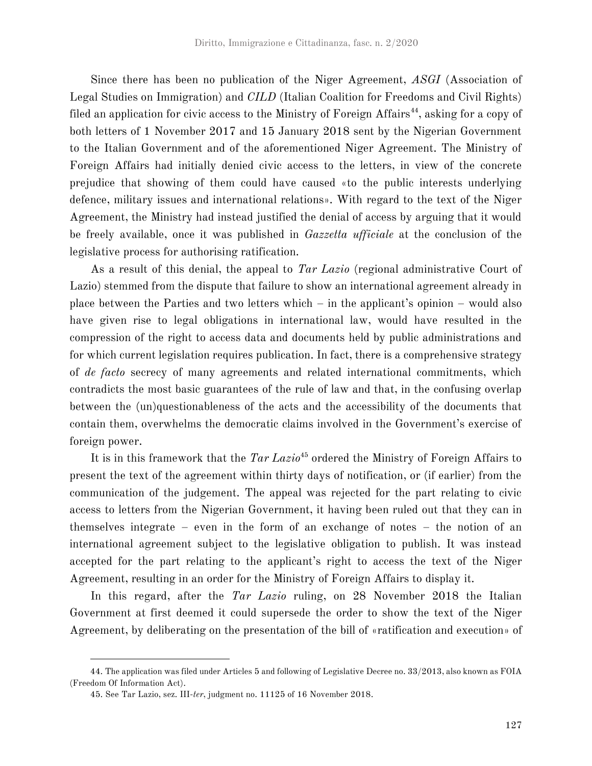Since there has been no publication of the Niger Agreement, *ASGI* (Association of Legal Studies on Immigration) and *CILD* (Italian Coalition for Freedoms and Civil Rights) filed an application for civic access to the Ministry of Foreign Affairs<sup>44</sup>, asking for a copy of both letters of 1 November 2017 and 15 January 2018 sent by the Nigerian Government to the Italian Government and of the aforementioned Niger Agreement. The Ministry of Foreign Affairs had initially denied civic access to the letters, in view of the concrete prejudice that showing of them could have caused «to the public interests underlying defence, military issues and international relations». With regard to the text of the Niger Agreement, the Ministry had instead justified the denial of access by arguing that it would be freely available, once it was published in *Gazzetta ufficiale* at the conclusion of the legislative process for authorising ratification.

As a result of this denial, the appeal to *Tar Lazio* (regional administrative Court of Lazio) stemmed from the dispute that failure to show an international agreement already in place between the Parties and two letters which – in the applicant's opinion – would also have given rise to legal obligations in international law, would have resulted in the compression of the right to access data and documents held by public administrations and for which current legislation requires publication. In fact, there is a comprehensive strategy of *de facto* secrecy of many agreements and related international commitments, which contradicts the most basic guarantees of the rule of law and that, in the confusing overlap between the (un)questionableness of the acts and the accessibility of the documents that contain them, overwhelms the democratic claims involved in the Government's exercise of foreign power.

It is in this framework that the *Tar Lazio*<sup>45</sup> ordered the Ministry of Foreign Affairs to present the text of the agreement within thirty days of notification, or (if earlier) from the communication of the judgement. The appeal was rejected for the part relating to civic access to letters from the Nigerian Government, it having been ruled out that they can in themselves integrate – even in the form of an exchange of notes – the notion of an international agreement subject to the legislative obligation to publish. It was instead accepted for the part relating to the applicant's right to access the text of the Niger Agreement, resulting in an order for the Ministry of Foreign Affairs to display it.

In this regard, after the *Tar Lazio* ruling, on 28 November 2018 the Italian Government at first deemed it could supersede the order to show the text of the Niger Agreement, by deliberating on the presentation of the bill of «ratification and execution» of

<sup>44.</sup> The application was filed under Articles 5 and following of Legislative Decree no. 33/2013, also known as FOIA (Freedom Of Information Act).

<sup>45.</sup> See Tar Lazio, sez. III-*ter*, judgment no. 11125 of 16 November 2018.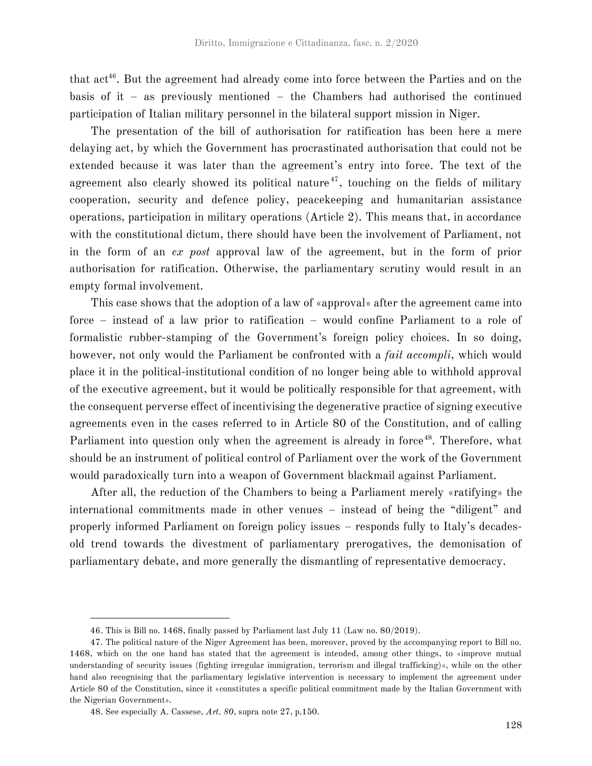that act<sup>46</sup>. But the agreement had already come into force between the Parties and on the basis of it – as previously mentioned – the Chambers had authorised the continued participation of Italian military personnel in the bilateral support mission in Niger.

The presentation of the bill of authorisation for ratification has been here a mere delaying act, by which the Government has procrastinated authorisation that could not be extended because it was later than the agreement's entry into force. The text of the agreement also clearly showed its political nature<sup>47</sup>, touching on the fields of military cooperation, security and defence policy, peacekeeping and humanitarian assistance operations, participation in military operations (Article 2). This means that, in accordance with the constitutional dictum, there should have been the involvement of Parliament, not in the form of an *ex post* approval law of the agreement, but in the form of prior authorisation for ratification. Otherwise, the parliamentary scrutiny would result in an empty formal involvement.

This case shows that the adoption of a law of «approval» after the agreement came into force – instead of a law prior to ratification – would confine Parliament to a role of formalistic rubber-stamping of the Government's foreign policy choices. In so doing, however, not only would the Parliament be confronted with a *fait accompli*, which would place it in the political-institutional condition of no longer being able to withhold approval of the executive agreement, but it would be politically responsible for that agreement, with the consequent perverse effect of incentivising the degenerative practice of signing executive agreements even in the cases referred to in Article 80 of the Constitution, and of calling Parliament into question only when the agreement is already in force<sup>48</sup>. Therefore, what should be an instrument of political control of Parliament over the work of the Government would paradoxically turn into a weapon of Government blackmail against Parliament.

After all, the reduction of the Chambers to being a Parliament merely «ratifying» the international commitments made in other venues – instead of being the "diligent" and properly informed Parliament on foreign policy issues – responds fully to Italy's decadesold trend towards the divestment of parliamentary prerogatives, the demonisation of parliamentary debate, and more generally the dismantling of representative democracy.

<sup>46.</sup> This is Bill no. 1468, finally passed by Parliament last July 11 (Law no. 80/2019).

<sup>47.</sup> The political nature of the Niger Agreement has been, moreover, proved by the accompanying report to Bill no. 1468, which on the one hand has stated that the agreement is intended, among other things, to «improve mutual understanding of security issues (fighting irregular immigration, terrorism and illegal trafficking)», while on the other hand also recognising that the parliamentary legislative intervention is necessary to implement the agreement under Article 80 of the Constitution, since it «constitutes a specific political commitment made by the Italian Government with the Nigerian Government».

<sup>48.</sup> See especially A. Cassese, *Art. 80*, supra note 27, p.150.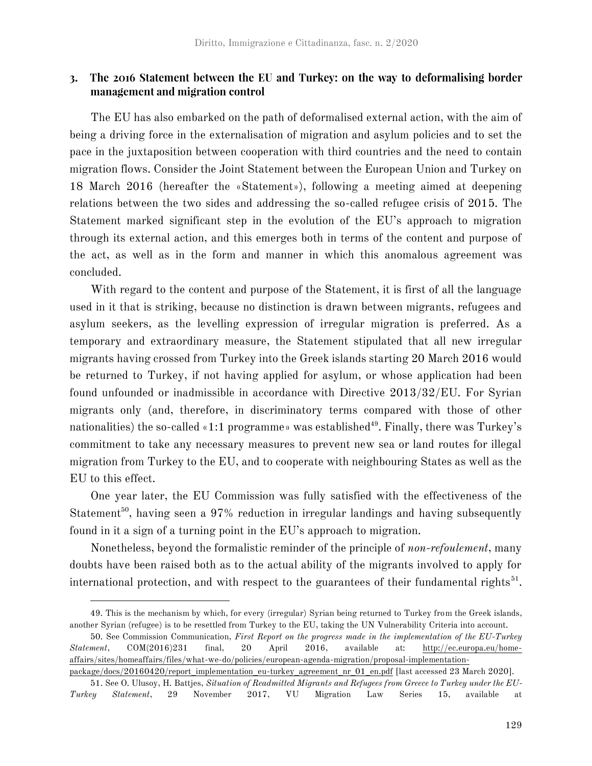## 3. The 2016 Statement between the EU and Turkey: on the way to deformalising border management and migration control

The EU has also embarked on the path of deformalised external action, with the aim of being a driving force in the externalisation of migration and asylum policies and to set the pace in the juxtaposition between cooperation with third countries and the need to contain migration flows. Consider the Joint Statement between the European Union and Turkey on 18 March 2016 (hereafter the «Statement»), following a meeting aimed at deepening relations between the two sides and addressing the so-called refugee crisis of 2015. The Statement marked significant step in the evolution of the EU's approach to migration through its external action, and this emerges both in terms of the content and purpose of the act, as well as in the form and manner in which this anomalous agreement was concluded.

With regard to the content and purpose of the Statement, it is first of all the language used in it that is striking, because no distinction is drawn between migrants, refugees and asylum seekers, as the levelling expression of irregular migration is preferred. As a temporary and extraordinary measure, the Statement stipulated that all new irregular migrants having crossed from Turkey into the Greek islands starting 20 March 2016 would be returned to Turkey, if not having applied for asylum, or whose application had been found unfounded or inadmissible in accordance with Directive 2013/32/EU. For Syrian migrants only (and, therefore, in discriminatory terms compared with those of other nationalities) the so-called «1:1 programme» was established<sup>49</sup>. Finally, there was Turkey's commitment to take any necessary measures to prevent new sea or land routes for illegal migration from Turkey to the EU, and to cooperate with neighbouring States as well as the EU to this effect.

One year later, the EU Commission was fully satisfied with the effectiveness of the Statement<sup>50</sup>, having seen a 97% reduction in irregular landings and having subsequently found in it a sign of a turning point in the EU's approach to migration.

Nonetheless, beyond the formalistic reminder of the principle of *non-refoulement*, many doubts have been raised both as to the actual ability of the migrants involved to apply for international protection, and with respect to the guarantees of their fundamental rights<sup>51</sup>.

<sup>49.</sup> This is the mechanism by which, for every (irregular) Syrian being returned to Turkey from the Greek islands, another Syrian (refugee) is to be resettled from Turkey to the EU, taking the UN Vulnerability Criteria into account.

<sup>50.</sup> See Commission Communication, *First Report on the progress made in the implementation of the EU-Turkey Statement*, COM(2016)231 final, 20 April 2016, available at: http://ec.europa.eu/homeaffairs/sites/homeaffairs/files/what-we-do/policies/european-agenda-migration/proposal-implementation-

package/docs/20160420/report\_implementation\_eu-turkey\_agreement\_nr\_01\_en.pdf [last accessed 23 March 2020].

<sup>51.</sup> See O. Ulusoy, H. Battjes, *Situation of Readmitted Migrants and Refugees from Greece to Turkey under the EU-Turkey Statement*, 29 November 2017, VU Migration Law Series 15, available at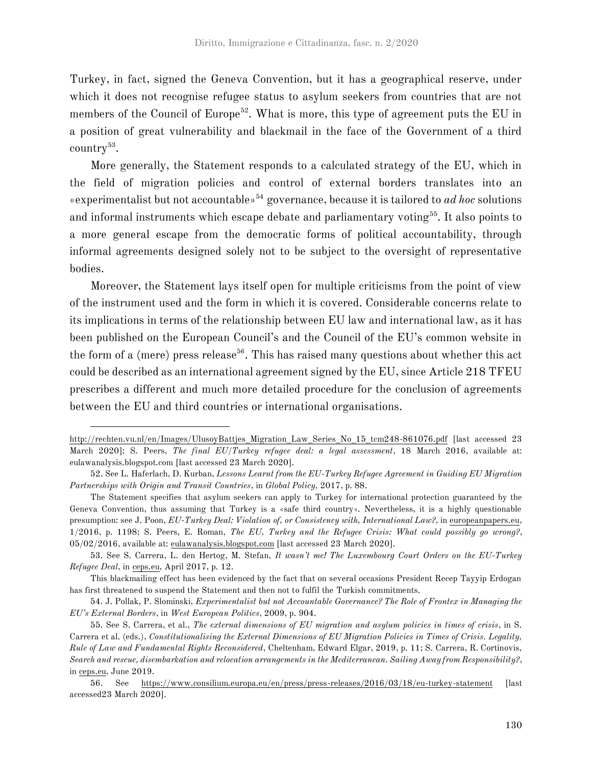Turkey, in fact, signed the Geneva Convention, but it has a geographical reserve, under which it does not recognise refugee status to asylum seekers from countries that are not members of the Council of Europe<sup>52</sup>. What is more, this type of agreement puts the EU in a position of great vulnerability and blackmail in the face of the Government of a third  $\text{country}^{53}$ .

More generally, the Statement responds to a calculated strategy of the EU, which in the field of migration policies and control of external borders translates into an «experimentalist but not accountable»<sup>54</sup> governance, because it is tailored to *ad hoc* solutions and informal instruments which escape debate and parliamentary voting<sup>55</sup>. It also points to a more general escape from the democratic forms of political accountability, through informal agreements designed solely not to be subject to the oversight of representative bodies.

Moreover, the Statement lays itself open for multiple criticisms from the point of view of the instrument used and the form in which it is covered. Considerable concerns relate to its implications in terms of the relationship between EU law and international law, as it has been published on the European Council's and the Council of the EU's common website in the form of a (mere) press release<sup>56</sup>. This has raised many questions about whether this act could be described as an international agreement signed by the EU, since Article 218 TFEU prescribes a different and much more detailed procedure for the conclusion of agreements between the EU and third countries or international organisations.

http://rechten.vu.nl/en/Images/UlusoyBattjes\_Migration\_Law\_Series\_No\_15\_tcm248-861076.pdf [last accessed 23 March 2020]; S. Peers, *The final EU/Turkey refugee deal: a legal assessment*, 18 March 2016, available at: eulawanalysis.blogspot.com [last accessed 23 March 2020].

<sup>52.</sup> See L. Haferlach, D. Kurban, *Lessons Learnt from the EU-Turkey Refugee Agreement in Guiding EU Migration Partnerships with Origin and Transit Countries*, in *Global Policy,* 2017, p. 88.

The Statement specifies that asylum seekers can apply to Turkey for international protection guaranteed by the Geneva Convention, thus assuming that Turkey is a «safe third country». Nevertheless, it is a highly questionable presumption: see J. Poon, *EU-Turkey Deal: Violation of, or Consistency with, International Law?*, in europeanpapers.eu, 1/2016, p. 1198; S. Peers, E. Roman, *The EU, Turkey and the Refugee Crisis: What could possibly go wrong?*, 05/02/2016, available at: eulawanalysis.blogspot.com [last accessed 23 March 2020].

<sup>53.</sup> See S. Carrera, L. den Hertog, M. Stefan, *It wasn't me! The Luxembourg Court Orders on the EU-Turkey Refugee Deal*, in ceps.eu, April 2017, p. 12.

This blackmailing effect has been evidenced by the fact that on several occasions President Recep Tayyip Erdogan has first threatened to suspend the Statement and then not to fulfil the Turkish commitments.

<sup>54.</sup> J. Pollak, P. Slominski, *Experimentalist but not Accountable Governance? The Role of Frontex in Managing the EU's External Borders*, in *West European Politics*, 2009, p. 904.

<sup>55.</sup> See S. Carrera, et al., *The external dimensions of EU migration and asylum policies in times of crisis*, in S. Carrera et al. (eds.), *Constitutionalising the External Dimensions of EU Migration Policies in Times of Crisis. Legality, Rule of Law and Fundamental Rights Reconsidered*, Cheltenham, Edward Elgar, 2019, p. 11; S. Carrera, R. Cortinovis, *Search and rescue, disembarkation and relocation arrangements in the Mediterranean. Sailing Away from Responsibility?*, in ceps.eu, June 2019.

<sup>56.</sup> See https://www.consilium.europa.eu/en/press/press-releases/2016/03/18/eu-turkey-statement [last accessed23 March 2020].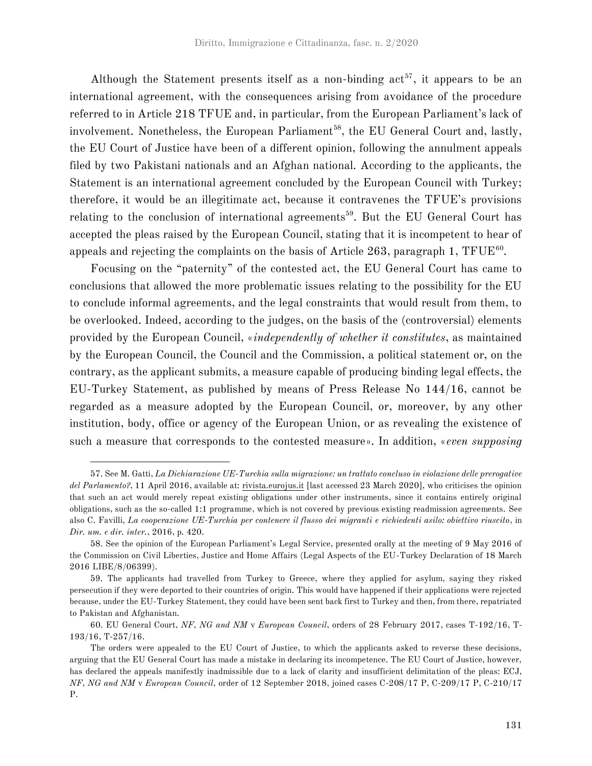Although the Statement presents itself as a non-binding  $act^{57}$ , it appears to be an international agreement, with the consequences arising from avoidance of the procedure referred to in Article 218 TFUE and, in particular, from the European Parliament's lack of involvement. Nonetheless, the European Parliament<sup>58</sup>, the EU General Court and, lastly, the EU Court of Justice have been of a different opinion, following the annulment appeals filed by two Pakistani nationals and an Afghan national. According to the applicants, the Statement is an international agreement concluded by the European Council with Turkey; therefore, it would be an illegitimate act, because it contravenes the TFUE's provisions relating to the conclusion of international agreements<sup>59</sup>. But the EU General Court has accepted the pleas raised by the European Council, stating that it is incompetent to hear of appeals and rejecting the complaints on the basis of Article 263, paragraph 1,  $\text{TFUE}^{\text{60}}$ .

Focusing on the "paternity" of the contested act, the EU General Court has came to conclusions that allowed the more problematic issues relating to the possibility for the EU to conclude informal agreements, and the legal constraints that would result from them, to be overlooked. Indeed, according to the judges, on the basis of the (controversial) elements provided by the European Council, «*independently of whether it constitutes*, as maintained by the European Council, the Council and the Commission, a political statement or, on the contrary, as the applicant submits, a measure capable of producing binding legal effects, the EU-Turkey Statement, as published by means of Press Release No 144/16, cannot be regarded as a measure adopted by the European Council, or, moreover, by any other institution, body, office or agency of the European Union, or as revealing the existence of such a measure that corresponds to the contested measure». In addition, «*even supposing* 

<sup>57.</sup> See M. Gatti, *La Dichiarazione UE-Turchia sulla migrazione: un trattato concluso in violazione delle prerogative del Parlamento?*, 11 April 2016, available at: rivista.eurojus.it [last accessed 23 March 2020], who criticises the opinion that such an act would merely repeat existing obligations under other instruments, since it contains entirely original obligations, such as the so-called 1:1 programme, which is not covered by previous existing readmission agreements. See also C. Favilli, *La cooperazione UE-Turchia per contenere il flusso dei migranti e richiedenti asilo: obiettivo riuscito*, in *Dir. um. e dir. inter.*, 2016, p. 420.

<sup>58.</sup> See the opinion of the European Parliament's Legal Service, presented orally at the meeting of 9 May 2016 of the Commission on Civil Liberties, Justice and Home Affairs (Legal Aspects of the EU-Turkey Declaration of 18 March 2016 LIBE/8/06399).

<sup>59.</sup> The applicants had travelled from Turkey to Greece, where they applied for asylum, saying they risked persecution if they were deported to their countries of origin. This would have happened if their applications were rejected because, under the EU-Turkey Statement, they could have been sent back first to Turkey and then, from there, repatriated to Pakistan and Afghanistan.

<sup>60.</sup> EU General Court, *NF, NG and NM* v *European Council*, orders of 28 February 2017, cases T-192/16, T-193/16, T-257/16.

The orders were appealed to the EU Court of Justice, to which the applicants asked to reverse these decisions, arguing that the EU General Court has made a mistake in declaring its incompetence. The EU Court of Justice, however, has declared the appeals manifestly inadmissible due to a lack of clarity and insufficient delimitation of the pleas: ECJ, *NF, NG and NM* v *European Council*, order of 12 September 2018, joined cases C-208/17 P, C-209/17 P, C-210/17 P.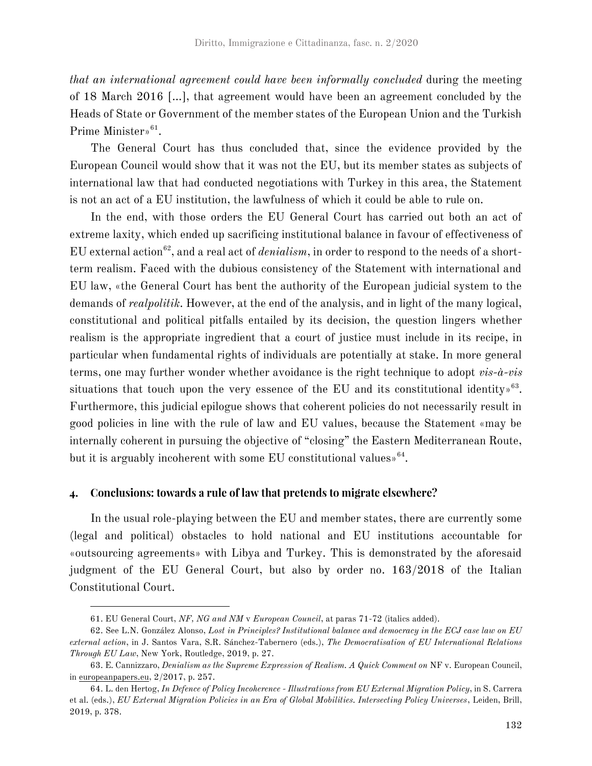*that an international agreement could have been informally concluded* during the meeting of 18 March 2016 […], that agreement would have been an agreement concluded by the Heads of State or Government of the member states of the European Union and the Turkish Prime Minister»<sup>61</sup>.

The General Court has thus concluded that, since the evidence provided by the European Council would show that it was not the EU, but its member states as subjects of international law that had conducted negotiations with Turkey in this area, the Statement is not an act of a EU institution, the lawfulness of which it could be able to rule on.

In the end, with those orders the EU General Court has carried out both an act of extreme laxity, which ended up sacrificing institutional balance in favour of effectiveness of EU external action<sup>62</sup>, and a real act of *denialism*, in order to respond to the needs of a shortterm realism. Faced with the dubious consistency of the Statement with international and EU law, «the General Court has bent the authority of the European judicial system to the demands of *realpolitik*. However, at the end of the analysis, and in light of the many logical, constitutional and political pitfalls entailed by its decision, the question lingers whether realism is the appropriate ingredient that a court of justice must include in its recipe, in particular when fundamental rights of individuals are potentially at stake. In more general terms, one may further wonder whether avoidance is the right technique to adopt *vis-à-vis* situations that touch upon the very essence of the EU and its constitutional identity.<sup>63</sup>. Furthermore, this judicial epilogue shows that coherent policies do not necessarily result in good policies in line with the rule of law and EU values, because the Statement «may be internally coherent in pursuing the objective of "closing" the Eastern Mediterranean Route, but it is arguably incoherent with some EU constitutional values  $64$ .

#### Conclusions: towards a rule of law that pretends to migrate elsewhere?  $4.$

In the usual role-playing between the EU and member states, there are currently some (legal and political) obstacles to hold national and EU institutions accountable for «outsourcing agreements» with Libya and Turkey. This is demonstrated by the aforesaid judgment of the EU General Court, but also by order no. 163/2018 of the Italian Constitutional Court.

<sup>61.</sup> EU General Court, *NF, NG and NM* v *European Council*, at paras 71-72 (italics added).

<sup>62.</sup> See L.N. González Alonso, *Lost in Principles? Institutional balance and democracy in the ECJ case law on EU external action*, in J. Santos Vara, S.R. Sánchez-Tabernero (eds.), *The Democratisation of EU International Relations Through EU Law*, New York, Routledge, 2019, p. 27.

<sup>63.</sup> E. Cannizzaro, *Denialism as the Supreme Expression of Realism. A Quick Comment on* NF v. European Council, in europeanpapers.eu, 2/2017, p. 257.

<sup>64.</sup> L. den Hertog, *In Defence of Policy Incoherence - Illustrations from EU External Migration Policy*, in S. Carrera et al. (eds.), *EU External Migration Policies in an Era of Global Mobilities. Intersecting Policy Universes*, Leiden, Brill, 2019, p. 378.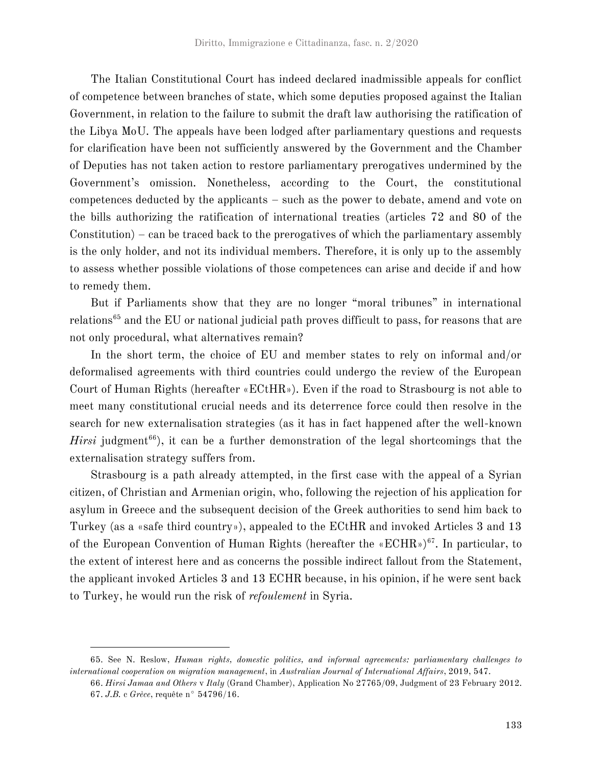The Italian Constitutional Court has indeed declared inadmissible appeals for conflict of competence between branches of state, which some deputies proposed against the Italian Government, in relation to the failure to submit the draft law authorising the ratification of the Libya MoU. The appeals have been lodged after parliamentary questions and requests for clarification have been not sufficiently answered by the Government and the Chamber of Deputies has not taken action to restore parliamentary prerogatives undermined by the Government's omission. Nonetheless, according to the Court, the constitutional competences deducted by the applicants – such as the power to debate, amend and vote on the bills authorizing the ratification of international treaties (articles 72 and 80 of the Constitution) – can be traced back to the prerogatives of which the parliamentary assembly is the only holder, and not its individual members. Therefore, it is only up to the assembly to assess whether possible violations of those competences can arise and decide if and how to remedy them.

But if Parliaments show that they are no longer "moral tribunes" in international relations<sup>65</sup> and the EU or national judicial path proves difficult to pass, for reasons that are not only procedural, what alternatives remain?

In the short term, the choice of EU and member states to rely on informal and/or deformalised agreements with third countries could undergo the review of the European Court of Human Rights (hereafter «ECtHR»). Even if the road to Strasbourg is not able to meet many constitutional crucial needs and its deterrence force could then resolve in the search for new externalisation strategies (as it has in fact happened after the well-known *Hirsi* judgment<sup>66</sup>), it can be a further demonstration of the legal shortcomings that the externalisation strategy suffers from.

Strasbourg is a path already attempted, in the first case with the appeal of a Syrian citizen, of Christian and Armenian origin, who, following the rejection of his application for asylum in Greece and the subsequent decision of the Greek authorities to send him back to Turkey (as a «safe third country»), appealed to the ECtHR and invoked Articles 3 and 13 of the European Convention of Human Rights (hereafter the «ECHR»)<sup>67</sup>. In particular, to the extent of interest here and as concerns the possible indirect fallout from the Statement, the applicant invoked Articles 3 and 13 ECHR because, in his opinion, if he were sent back to Turkey, he would run the risk of *refoulement* in Syria.

<sup>65.</sup> See N. Reslow, *Human rights, domestic politics, and informal agreements: parliamentary challenges to international cooperation on migration management*, in *Australian Journal of International Affairs*, 2019, 547.

<sup>66.</sup> *Hirsi Jamaa and Others* v *Italy* (Grand Chamber), Application No 27765/09, Judgment of 23 February 2012. 67. *J.B.* c *Grèce*, requête n° 54796/16.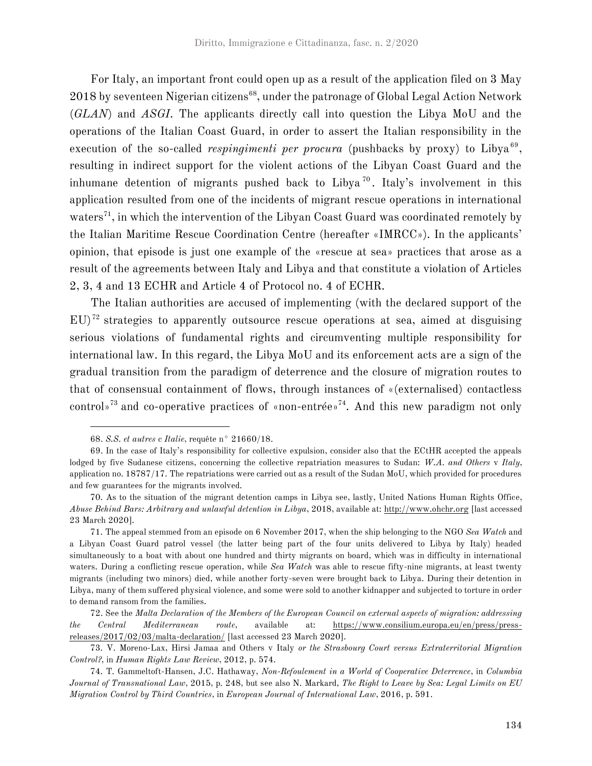For Italy, an important front could open up as a result of the application filed on 3 May 2018 by seventeen Nigerian citizens<sup>68</sup>, under the patronage of Global Legal Action Network (*GLAN*) and *ASGI*. The applicants directly call into question the Libya MoU and the operations of the Italian Coast Guard, in order to assert the Italian responsibility in the execution of the so-called *respingimenti per procura* (pushbacks by proxy) to Libya<sup>69</sup>, resulting in indirect support for the violent actions of the Libyan Coast Guard and the inhumane detention of migrants pushed back to Libya <sup>70</sup> . Italy's involvement in this application resulted from one of the incidents of migrant rescue operations in international waters<sup>71</sup>, in which the intervention of the Libyan Coast Guard was coordinated remotely by the Italian Maritime Rescue Coordination Centre (hereafter «IMRCC»). In the applicants' opinion, that episode is just one example of the «rescue at sea» practices that arose as a result of the agreements between Italy and Libya and that constitute a violation of Articles 2, 3, 4 and 13 ECHR and Article 4 of Protocol no. 4 of ECHR.

The Italian authorities are accused of implementing (with the declared support of the  $EU$ <sup>72</sup> strategies to apparently outsource rescue operations at sea, aimed at disguising serious violations of fundamental rights and circumventing multiple responsibility for international law. In this regard, the Libya MoU and its enforcement acts are a sign of the gradual transition from the paradigm of deterrence and the closure of migration routes to that of consensual containment of flows, through instances of «(externalised) contactless control»<sup>73</sup> and co-operative practices of «non-entrée»<sup>74</sup>. And this new paradigm not only

<sup>68.</sup> *S.S. et autres* c *Italie*, requête n° 21660/18.

<sup>69.</sup> In the case of Italy's responsibility for collective expulsion, consider also that the ECtHR accepted the appeals lodged by five Sudanese citizens, concerning the collective repatriation measures to Sudan: *W.A. and Others* v *Italy*, application no. 18787/17. The repatriations were carried out as a result of the Sudan MoU, which provided for procedures and few guarantees for the migrants involved.

<sup>70.</sup> As to the situation of the migrant detention camps in Libya see, lastly, United Nations Human Rights Office, *Abuse Behind Bars: Arbitrary and unlawful detention in Libya*, 2018, available at: http://www.ohchr.org [last accessed 23 March 2020].

<sup>71.</sup> The appeal stemmed from an episode on 6 November 2017, when the ship belonging to the NGO *Sea Watch* and a Libyan Coast Guard patrol vessel (the latter being part of the four units delivered to Libya by Italy) headed simultaneously to a boat with about one hundred and thirty migrants on board, which was in difficulty in international waters. During a conflicting rescue operation, while *Sea Watch* was able to rescue fifty-nine migrants, at least twenty migrants (including two minors) died, while another forty-seven were brought back to Libya. During their detention in Libya, many of them suffered physical violence, and some were sold to another kidnapper and subjected to torture in order to demand ransom from the families.

<sup>72.</sup> See the *Malta Declaration of the Members of the European Council on external aspects of migration: addressing the Central Mediterranean route*, available at: https://www.consilium.europa.eu/en/press/pressreleases/2017/02/03/malta-declaration/ [last accessed 23 March 2020].

<sup>73.</sup> V. Moreno-Lax, Hirsi Jamaa and Others v Italy *or the Strasbourg Court versus Extraterritorial Migration Control?*, in *Human Rights Law Review*, 2012, p. 574.

<sup>74.</sup> T. Gammeltoft-Hansen, J.C. Hathaway, *Non-Refoulement in a World of Cooperative Deterrence*, in *Columbia Journal of Transnational Law*, 2015, p. 248, but see also N. Markard, *The Right to Leave by Sea: Legal Limits on EU Migration Control by Third Countries*, in *European Journal of International Law*, 2016, p. 591.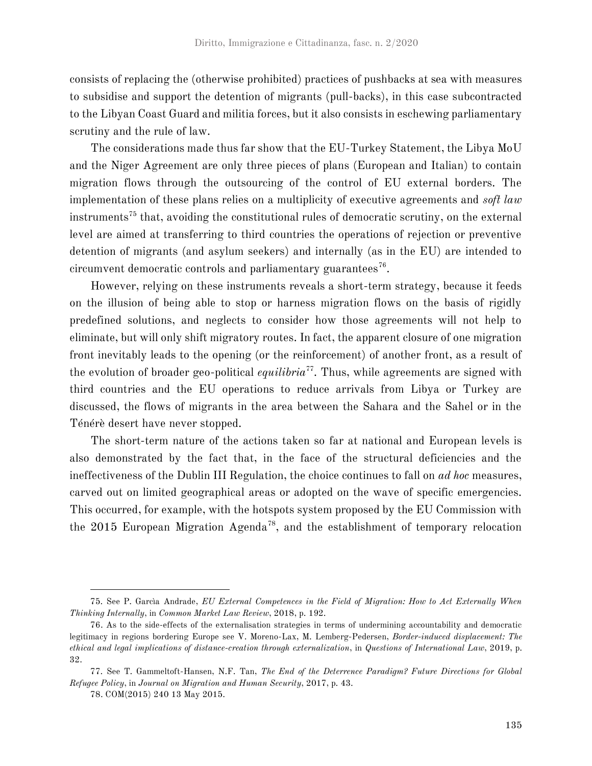consists of replacing the (otherwise prohibited) practices of pushbacks at sea with measures to subsidise and support the detention of migrants (pull-backs), in this case subcontracted to the Libyan Coast Guard and militia forces, but it also consists in eschewing parliamentary scrutiny and the rule of law.

The considerations made thus far show that the EU-Turkey Statement, the Libya MoU and the Niger Agreement are only three pieces of plans (European and Italian) to contain migration flows through the outsourcing of the control of EU external borders. The implementation of these plans relies on a multiplicity of executive agreements and *soft law* instruments<sup>75</sup> that, avoiding the constitutional rules of democratic scrutiny, on the external level are aimed at transferring to third countries the operations of rejection or preventive detention of migrants (and asylum seekers) and internally (as in the EU) are intended to circumvent democratic controls and parliamentary guarantees $^{76}$ .

However, relying on these instruments reveals a short-term strategy, because it feeds on the illusion of being able to stop or harness migration flows on the basis of rigidly predefined solutions, and neglects to consider how those agreements will not help to eliminate, but will only shift migratory routes. In fact, the apparent closure of one migration front inevitably leads to the opening (or the reinforcement) of another front, as a result of the evolution of broader geo-political *equilibria*<sup>77</sup>. Thus, while agreements are signed with third countries and the EU operations to reduce arrivals from Libya or Turkey are discussed, the flows of migrants in the area between the Sahara and the Sahel or in the Ténérè desert have never stopped.

The short-term nature of the actions taken so far at national and European levels is also demonstrated by the fact that, in the face of the structural deficiencies and the ineffectiveness of the Dublin III Regulation, the choice continues to fall on *ad hoc* measures, carved out on limited geographical areas or adopted on the wave of specific emergencies. This occurred, for example, with the hotspots system proposed by the EU Commission with the 2015 European Migration Agenda<sup>78</sup>, and the establishment of temporary relocation

<sup>75.</sup> See P. Garcìa Andrade, *EU External Competences in the Field of Migration: How to Act Externally When Thinking Internally*, in *Common Market Law Review*, 2018, p. 192.

<sup>76.</sup> As to the side-effects of the externalisation strategies in terms of undermining accountability and democratic legitimacy in regions bordering Europe see V. Moreno-Lax, M. Lemberg-Pedersen, *Border-induced displacement: The ethical and legal implications of distance-creation through externalization*, in *Questions of International Law*, 2019, p. 32.

<sup>77.</sup> See T. Gammeltoft-Hansen, N.F. Tan, *The End of the Deterrence Paradigm? Future Directions for Global Refugee Policy*, in *Journal on Migration and Human Security*, 2017, p. 43.

<sup>78.</sup> COM(2015) 240 13 May 2015.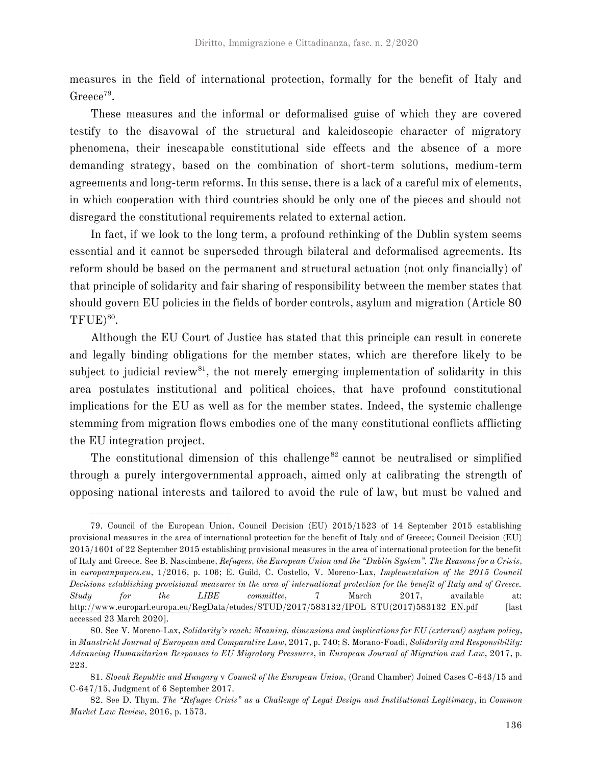measures in the field of international protection, formally for the benefit of Italy and Greece<sup>79</sup>.

These measures and the informal or deformalised guise of which they are covered testify to the disavowal of the structural and kaleidoscopic character of migratory phenomena, their inescapable constitutional side effects and the absence of a more demanding strategy, based on the combination of short-term solutions, medium-term agreements and long-term reforms. In this sense, there is a lack of a careful mix of elements, in which cooperation with third countries should be only one of the pieces and should not disregard the constitutional requirements related to external action.

In fact, if we look to the long term, a profound rethinking of the Dublin system seems essential and it cannot be superseded through bilateral and deformalised agreements. Its reform should be based on the permanent and structural actuation (not only financially) of that principle of solidarity and fair sharing of responsibility between the member states that should govern EU policies in the fields of border controls, asylum and migration (Article 80  $TFUE)^{80}$ .

Although the EU Court of Justice has stated that this principle can result in concrete and legally binding obligations for the member states, which are therefore likely to be subject to judicial review<sup>81</sup>, the not merely emerging implementation of solidarity in this area postulates institutional and political choices, that have profound constitutional implications for the EU as well as for the member states. Indeed, the systemic challenge stemming from migration flows embodies one of the many constitutional conflicts afflicting the EU integration project.

The constitutional dimension of this challenge<sup>82</sup> cannot be neutralised or simplified through a purely intergovernmental approach, aimed only at calibrating the strength of opposing national interests and tailored to avoid the rule of law, but must be valued and

<sup>79.</sup> Council of the European Union, Council Decision (EU) 2015/1523 of 14 September 2015 establishing provisional measures in the area of international protection for the benefit of Italy and of Greece; Council Decision (EU) 2015/1601 of 22 September 2015 establishing provisional measures in the area of international protection for the benefit of Italy and Greece. See B. Nascimbene, *Refugees, the European Union and the "Dublin System". The Reasons for a Crisis*, in *europeanpapers.eu*, 1/2016, p. 106; E. Guild, C. Costello, V. Moreno-Lax, *Implementation of the 2015 Council Decisions establishing provisional measures in the area of international protection for the benefit of Italy and of Greece. Study for the LIBE committee*, 7 March 2017, available at: http://www.europarl.europa.eu/RegData/etudes/STUD/2017/583132/IPOL\_STU(2017)583132\_EN.pdf [last accessed 23 March 2020].

<sup>80.</sup> See V. Moreno-Lax, *Solidarity's reach: Meaning, dimensions and implications for EU (external) asylum policy*, in *Maastricht Journal of European and Comparative Law*, 2017, p. 740; S. Morano-Foadi, *Solidarity and Responsibility: Advancing Humanitarian Responses to EU Migratory Pressures*, in *European Journal of Migration and Law*, 2017, p. 223.

<sup>81.</sup> *Slovak Republic and Hungary* v *Council of the European Union*, (Grand Chamber) Joined Cases C-643/15 and C-647/15, Judgment of 6 September 2017.

<sup>82.</sup> See D. Thym, *The "Refugee Crisis" as a Challenge of Legal Design and Institutional Legitimacy*, in *Common Market Law Review*, 2016, p. 1573.